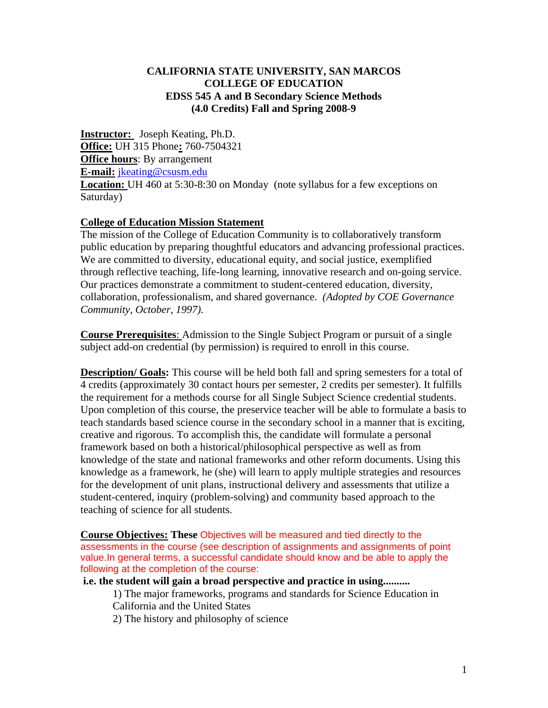#### **CALIFORNIA STATE UNIVERSITY, SAN MARCOS COLLEGE OF EDUCATION EDSS 545 A and B Secondary Science Methods (4.0 Credits) Fall and Spring 2008-9**

**Instructor:** Joseph Keating, Ph.D. **Office:** UH 315 Phone**:** 760-7504321 **Office hours**: By arrangement **E-mail:** jkeating@csusm.edu **Location:** UH 460 at 5:30-8:30 on Monday (note syllabus for a few exceptions on Saturday)

#### **College of Education Mission Statement**

The mission of the College of Education Community is to collaboratively transform public education by preparing thoughtful educators and advancing professional practices. We are committed to diversity, educational equity, and social justice, exemplified through reflective teaching, life-long learning, innovative research and on-going service. Our practices demonstrate a commitment to student-centered education, diversity, collaboration, professionalism, and shared governance. *(Adopted by COE Governance Community, October, 1997).* 

**Course Prerequisites**: Admission to the Single Subject Program or pursuit of a single subject add-on credential (by permission) is required to enroll in this course.

**Description/ Goals:** This course will be held both fall and spring semesters for a total of 4 credits (approximately 30 contact hours per semester, 2 credits per semester). It fulfills the requirement for a methods course for all Single Subject Science credential students. Upon completion of this course, the preservice teacher will be able to formulate a basis to teach standards based science course in the secondary school in a manner that is exciting, creative and rigorous. To accomplish this, the candidate will formulate a personal framework based on both a historical/philosophical perspective as well as from knowledge of the state and national frameworks and other reform documents. Using this knowledge as a framework, he (she) will learn to apply multiple strategies and resources for the development of unit plans, instructional delivery and assessments that utilize a student-centered, inquiry (problem-solving) and community based approach to the teaching of science for all students.

**Course Objectives: These** Objectives will be measured and tied directly to the assessments in the course (see description of assignments and assignments of point value.In general terms, a successful candidate should know and be able to apply the following at the completion of the course:

**i.e. the student will gain a broad perspective and practice in using..........** 

1) The major frameworks, programs and standards for Science Education in California and the United States

2) The history and philosophy of science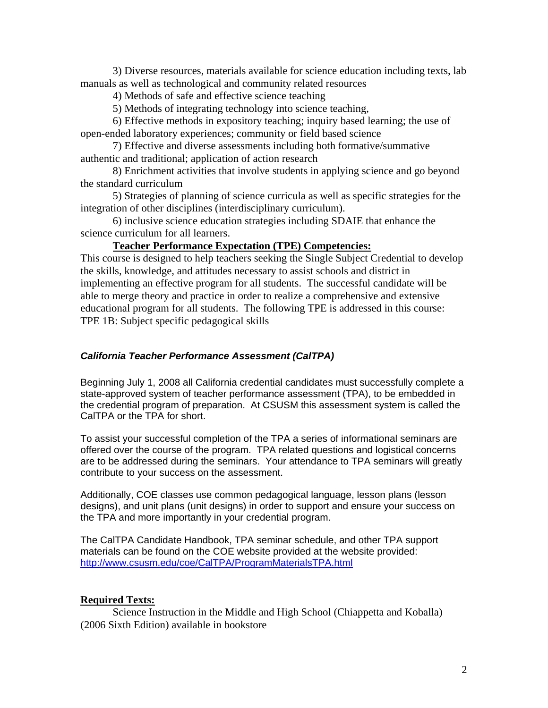3) Diverse resources, materials available for science education including texts, lab manuals as well as technological and community related resources

4) Methods of safe and effective science teaching

5) Methods of integrating technology into science teaching,

6) Effective methods in expository teaching; inquiry based learning; the use of open-ended laboratory experiences; community or field based science

7) Effective and diverse assessments including both formative/summative authentic and traditional; application of action research

8) Enrichment activities that involve students in applying science and go beyond the standard curriculum

5) Strategies of planning of science curricula as well as specific strategies for the integration of other disciplines (interdisciplinary curriculum).

6) inclusive science education strategies including SDAIE that enhance the science curriculum for all learners.

**Teacher Performance Expectation (TPE) Competencies:** 

This course is designed to help teachers seeking the Single Subject Credential to develop the skills, knowledge, and attitudes necessary to assist schools and district in implementing an effective program for all students. The successful candidate will be able to merge theory and practice in order to realize a comprehensive and extensive educational program for all students. The following TPE is addressed in this course: TPE 1B: Subject specific pedagogical skills

#### *California Teacher Performance Assessment (CalTPA)*

Beginning July 1, 2008 all California credential candidates must successfully complete a state-approved system of teacher performance assessment (TPA), to be embedded in the credential program of preparation. At CSUSM this assessment system is called the CalTPA or the TPA for short.

To assist your successful completion of the TPA a series of informational seminars are offered over the course of the program. TPA related questions and logistical concerns are to be addressed during the seminars. Your attendance to TPA seminars will greatly contribute to your success on the assessment.

Additionally, COE classes use common pedagogical language, lesson plans (lesson designs), and unit plans (unit designs) in order to support and ensure your success on the TPA and more importantly in your credential program.

 http://www.csusm.edu/coe/CalTPA/ProgramMaterialsTPA.html The CalTPA Candidate Handbook, TPA seminar schedule, and other TPA support materials can be found on the COE website provided at the website provided:

#### **Required Texts:**

Science Instruction in the Middle and High School (Chiappetta and Koballa) (2006 Sixth Edition) available in bookstore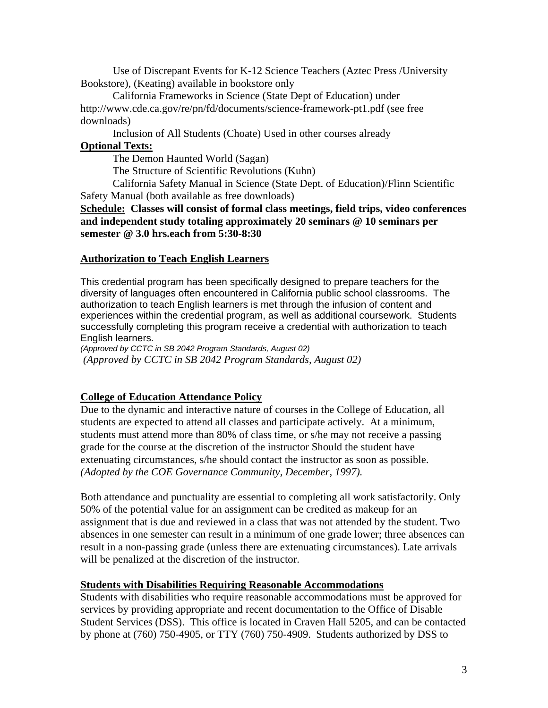Use of Discrepant Events for K-12 Science Teachers (Aztec Press /University Bookstore), (Keating) available in bookstore only

California Frameworks in Science (State Dept of Education) under http://www.cde.ca.gov/re/pn/fd/documents/science-framework-pt1.pdf (see free downloads)

Inclusion of All Students (Choate) Used in other courses already

# **Optional Texts:**

The Demon Haunted World (Sagan)

The Structure of Scientific Revolutions (Kuhn)

California Safety Manual in Science (State Dept. of Education)/Flinn Scientific Safety Manual (both available as free downloads)

**Schedule: Classes will consist of formal class meetings, field trips, video conferences and independent study totaling approximately 20 seminars @ 10 seminars per semester @ 3.0 hrs.each from 5:30-8:30** 

#### **Authorization to Teach English Learners**

This credential program has been specifically designed to prepare teachers for the diversity of languages often encountered in California public school classrooms. The authorization to teach English learners is met through the infusion of content and experiences within the credential program, as well as additional coursework. Students successfully completing this program receive a credential with authorization to teach English learners.

*(Approved by CCTC in SB 2042 Program Standards, August 02) (Approved by CCTC in SB 2042 Program Standards, August 02)* 

#### **College of Education Attendance Policy**

 *(Adopted by the COE Governance Community, December, 1997).* Due to the dynamic and interactive nature of courses in the College of Education, all students are expected to attend all classes and participate actively. At a minimum, students must attend more than 80% of class time, or s/he may not receive a passing grade for the course at the discretion of the instructor Should the student have extenuating circumstances, s/he should contact the instructor as soon as possible.

Both attendance and punctuality are essential to completing all work satisfactorily. Only 50% of the potential value for an assignment can be credited as makeup for an assignment that is due and reviewed in a class that was not attended by the student. Two absences in one semester can result in a minimum of one grade lower; three absences can result in a non-passing grade (unless there are extenuating circumstances). Late arrivals will be penalized at the discretion of the instructor.

#### **Students with Disabilities Requiring Reasonable Accommodations**

Students with disabilities who require reasonable accommodations must be approved for services by providing appropriate and recent documentation to the Office of Disable Student Services (DSS). This office is located in Craven Hall 5205, and can be contacted by phone at (760) 750-4905, or TTY (760) 750-4909. Students authorized by DSS to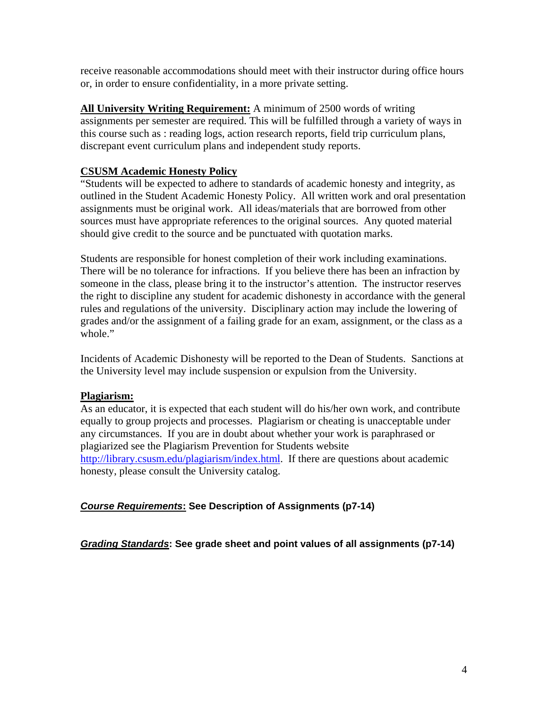receive reasonable accommodations should meet with their instructor during office hours or, in order to ensure confidentiality, in a more private setting.

**All University Writing Requirement:** A minimum of 2500 words of writing assignments per semester are required. This will be fulfilled through a variety of ways in this course such as : reading logs, action research reports, field trip curriculum plans, discrepant event curriculum plans and independent study reports.

#### **CSUSM Academic Honesty Policy**

"Students will be expected to adhere to standards of academic honesty and integrity, as outlined in the Student Academic Honesty Policy. All written work and oral presentation assignments must be original work. All ideas/materials that are borrowed from other sources must have appropriate references to the original sources. Any quoted material should give credit to the source and be punctuated with quotation marks.

Students are responsible for honest completion of their work including examinations. There will be no tolerance for infractions. If you believe there has been an infraction by someone in the class, please bring it to the instructor's attention. The instructor reserves the right to discipline any student for academic dishonesty in accordance with the general rules and regulations of the university. Disciplinary action may include the lowering of grades and/or the assignment of a failing grade for an exam, assignment, or the class as a whole."

Incidents of Academic Dishonesty will be reported to the Dean of Students. Sanctions at the University level may include suspension or expulsion from the University.

#### **Plagiarism:**

As an educator, it is expected that each student will do his/her own work, and contribute equally to group projects and processes. Plagiarism or cheating is unacceptable under any circumstances. If you are in doubt about whether your work is paraphrased or plagiarized see the Plagiarism Prevention for Students website http://library.csusm.edu/plagiarism/index.html. If there are questions about academic honesty, please consult the University catalog.

#### *Course Requirements***: See Description of Assignments (p7-14)**

*Grading Standards***: See grade sheet and point values of all assignments (p7-14)**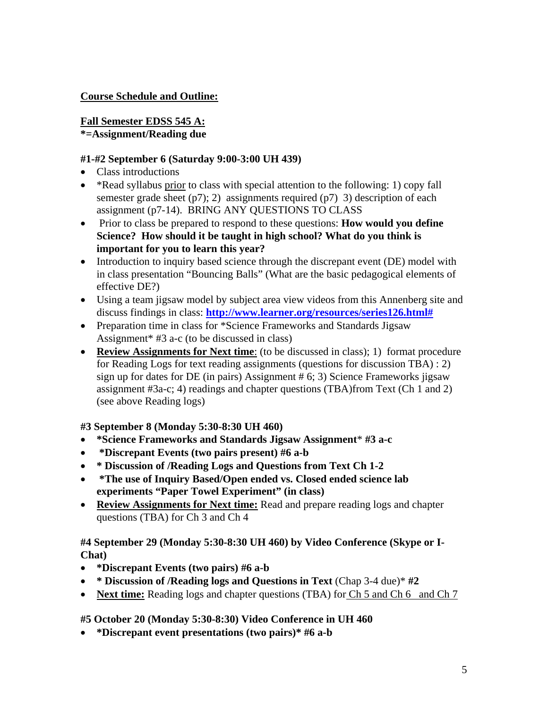#### **Course Schedule and Outline:**

#### **Fall Semester EDSS 545 A: \*=Assignment/Reading due**

#### **#1-#2 September 6 (Saturday 9:00-3:00 UH 439)**

- Class introductions
- \* Read syllabus prior to class with special attention to the following: 1) copy fall semester grade sheet  $(p7)$ ; 2) assignments required  $(p7)$  3) description of each assignment (p7-14). BRING ANY QUESTIONS TO CLASS
- Prior to class be prepared to respond to these questions: **How would you define Science? How should it be taught in high school? What do you think is important for you to learn this year?**
- Introduction to inquiry based science through the discrepant event (DE) model with in class presentation "Bouncing Balls" (What are the basic pedagogical elements of effective DE?)
- Using a team jigsaw model by subject area view videos from this Annenberg site and discuss findings in class: **http://www.learner.org/resources/series126.html#**
- Preparation time in class for \*Science Frameworks and Standards Jigsaw Assignment\* #3 a-c (to be discussed in class)
- Review Assignments for Next time: (to be discussed in class); 1) format procedure for Reading Logs for text reading assignments (questions for discussion TBA) : 2) sign up for dates for DE (in pairs) Assignment # 6; 3) Science Frameworks jigsaw assignment #3a-c; 4) readings and chapter questions (TBA)from Text (Ch 1 and 2) (see above Reading logs)

#### **#3 September 8 (Monday 5:30-8:30 UH 460)**

- **\*Science Frameworks and Standards Jigsaw Assignment**\* **#3 a-c**
- • **\*Discrepant Events (two pairs present) #6 a-b**
- **\* Discussion of /Reading Logs and Questions from Text Ch 1-2**
- **\*The use of Inquiry Based/Open ended vs. Closed ended science lab experiments "Paper Towel Experiment" (in class)**
- **Review Assignments for Next time:** Read and prepare reading logs and chapter questions (TBA) for Ch 3 and Ch 4

#### **#4 September 29 (Monday 5:30-8:30 UH 460) by Video Conference (Skype or I-Chat)**

- **\*Discrepant Events (two pairs) #6 a-b**
- **\* Discussion of /Reading logs and Questions in Text** (Chap 3-4 due)\* **#2**
- **Next time:** Reading logs and chapter questions (TBA) for Ch 5 and Ch 6 and Ch 7

### **#5 October 20 (Monday 5:30-8:30) Video Conference in UH 460**

• **\*Discrepant event presentations (two pairs)\* #6 a-b**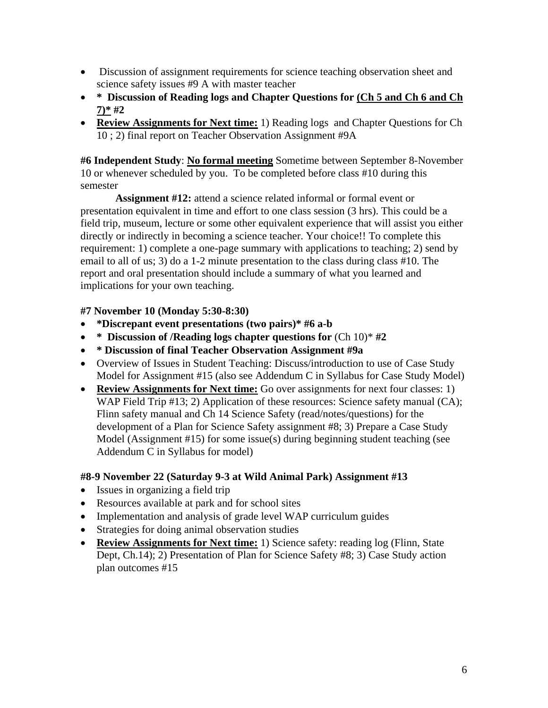- Discussion of assignment requirements for science teaching observation sheet and science safety issues #9 A with master teacher
- • **\* Discussion of Reading logs and Chapter Questions for (Ch 5 and Ch 6 and Ch 7)\* #2**
- • **Review Assignments for Next time:** 1) Reading logs and Chapter Questions for Ch 10 ; 2) final report on Teacher Observation Assignment #9A

**#6 Independent Study**: **No formal meeting** Sometime between September 8-November 10 or whenever scheduled by you. To be completed before class #10 during this semester

**Assignment #12:** attend a science related informal or formal event or presentation equivalent in time and effort to one class session (3 hrs). This could be a field trip, museum, lecture or some other equivalent experience that will assist you either directly or indirectly in becoming a science teacher. Your choice!! To complete this requirement: 1) complete a one-page summary with applications to teaching; 2) send by email to all of us; 3) do a 1-2 minute presentation to the class during class #10. The report and oral presentation should include a summary of what you learned and implications for your own teaching.

### **#7 November 10 (Monday 5:30-8:30)**

- **\*Discrepant event presentations (two pairs)\* #6 a-b**
- **\* Discussion of /Reading logs chapter questions for** (Ch 10)\* **#2**
- **\* Discussion of final Teacher Observation Assignment #9a**
- Overview of Issues in Student Teaching: Discuss/introduction to use of Case Study Model for Assignment #15 (also see Addendum C in Syllabus for Case Study Model)
- **Review Assignments for Next time:** Go over assignments for next four classes: 1) WAP Field Trip #13; 2) Application of these resources: Science safety manual (CA); Flinn safety manual and Ch 14 Science Safety (read/notes/questions) for the development of a Plan for Science Safety assignment #8; 3) Prepare a Case Study Model (Assignment #15) for some issue(s) during beginning student teaching (see Addendum C in Syllabus for model)

### **#8-9 November 22 (Saturday 9-3 at Wild Animal Park) Assignment #13**

- Issues in organizing a field trip
- Resources available at park and for school sites
- Implementation and analysis of grade level WAP curriculum guides
- Strategies for doing animal observation studies
- **Review Assignments for Next time:** 1) Science safety: reading log (Flinn, State Dept, Ch.14); 2) Presentation of Plan for Science Safety #8; 3) Case Study action plan outcomes #15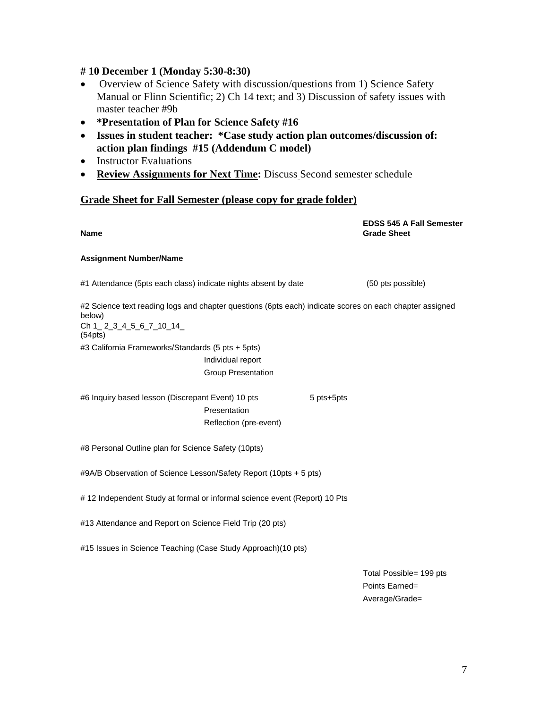#### **# 10 December 1 (Monday 5:30-8:30)**

- Overview of Science Safety with discussion/questions from 1) Science Safety Manual or Flinn Scientific; 2) Ch 14 text; and 3) Discussion of safety issues with master teacher #9b
- • **\*Presentation of Plan for Science Safety #16**
- • **Issues in student teacher: \*Case study action plan outcomes/discussion of: action plan findings #15 (Addendum C model)**
- Instructor Evaluations
- **Review Assignments for Next Time:** Discuss Second semester schedule

#### **Grade Sheet for Fall Semester (please copy for grade folder)**

**EDSS 545 A Fall Semester Name Grade Sheet Assignment Number/Name**  #1 Attendance (5pts each class) indicate nights absent by date (50 pts possible) #2 Science text reading logs and chapter questions (6pts each) indicate scores on each chapter assigned below) Ch 1 2 3 4 5 6 7 10 14 (54pts) #3 California Frameworks/Standards (5 pts + 5pts) Individual report Group Presentation #6 Inquiry based lesson (Discrepant Event) 10 pts 5 pts+5pts **Presentation**  Reflection (pre-event) #8 Personal Outline plan for Science Safety (10pts) #9A/B Observation of Science Lesson/Safety Report (10pts + 5 pts) # 12 Independent Study at formal or informal science event (Report) 10 Pts #13 Attendance and Report on Science Field Trip (20 pts) #15 Issues in Science Teaching (Case Study Approach)(10 pts) Total Possible= 199 pts Points Earned=

Average/Grade=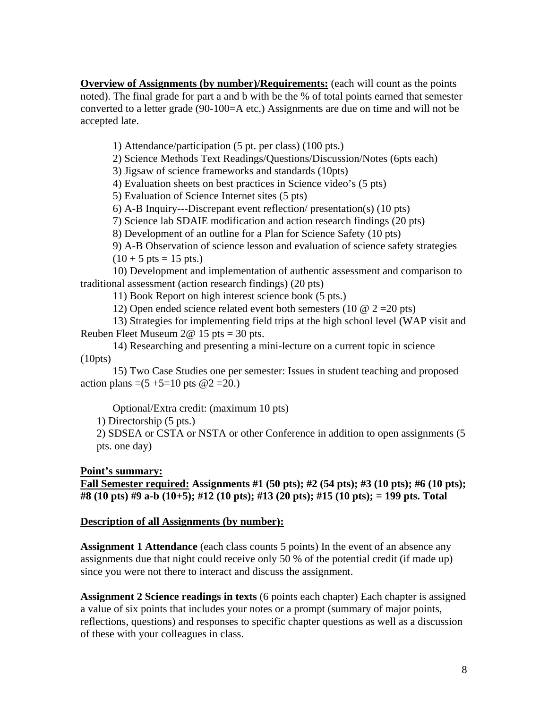**Overview of Assignments (by number)/Requirements:** (each will count as the points noted). The final grade for part a and b with be the % of total points earned that semester converted to a letter grade (90-100=A etc.) Assignments are due on time and will not be accepted late.

1) Attendance/participation (5 pt. per class) (100 pts.)

2) Science Methods Text Readings/Questions/Discussion/Notes (6pts each)

3) Jigsaw of science frameworks and standards (10pts)

4) Evaluation sheets on best practices in Science video's (5 pts)

5) Evaluation of Science Internet sites (5 pts)

6) A-B Inquiry---Discrepant event reflection/ presentation(s) (10 pts)

7) Science lab SDAIE modification and action research findings (20 pts)

8) Development of an outline for a Plan for Science Safety (10 pts)

9) A-B Observation of science lesson and evaluation of science safety strategies  $(10 + 5 \text{ pts} = 15 \text{ pts.})$ 

10) Development and implementation of authentic assessment and comparison to traditional assessment (action research findings) (20 pts)

11) Book Report on high interest science book (5 pts.)

12) Open ended science related event both semesters (10  $\omega$  2 = 20 pts)

13) Strategies for implementing field trips at the high school level (WAP visit and Reuben Fleet Museum 2@ 15 pts = 30 pts.

14) Researching and presenting a mini-lecture on a current topic in science (10pts)

15) Two Case Studies one per semester: Issues in student teaching and proposed action plans =(5 +5=10 pts  $@2 = 20$ .)

Optional/Extra credit: (maximum 10 pts)

1) Directorship (5 pts.)

2) SDSEA or CSTA or NSTA or other Conference in addition to open assignments (5 pts. one day)

#### **Point's summary:**

**Fall Semester required: Assignments #1 (50 pts); #2 (54 pts); #3 (10 pts); #6 (10 pts); #8 (10 pts) #9 a-b (10+5); #12 (10 pts); #13 (20 pts); #15 (10 pts); = 199 pts. Total** 

#### **Description of all Assignments (by number):**

**Assignment 1 Attendance** (each class counts 5 points) In the event of an absence any assignments due that night could receive only 50 % of the potential credit (if made up) since you were not there to interact and discuss the assignment.

**Assignment 2 Science readings in texts** (6 points each chapter) Each chapter is assigned a value of six points that includes your notes or a prompt (summary of major points, reflections, questions) and responses to specific chapter questions as well as a discussion of these with your colleagues in class.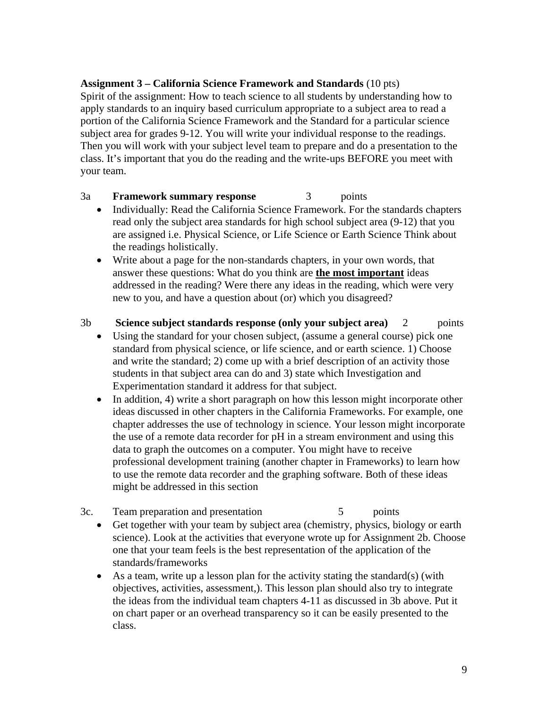#### **Assignment 3 – California Science Framework and Standards** (10 pts)

Spirit of the assignment: How to teach science to all students by understanding how to apply standards to an inquiry based curriculum appropriate to a subject area to read a portion of the California Science Framework and the Standard for a particular science subject area for grades 9-12. You will write your individual response to the readings. Then you will work with your subject level team to prepare and do a presentation to the class. It's important that you do the reading and the write-ups BEFORE you meet with your team.

#### 3a **Framework summary response** 3 points

- Individually: Read the California Science Framework. For the standards chapters read only the subject area standards for high school subject area (9-12) that you are assigned i.e. Physical Science, or Life Science or Earth Science Think about the readings holistically.
- Write about a page for the non-standards chapters, in your own words, that answer these questions: What do you think are **the most important** ideas addressed in the reading? Were there any ideas in the reading, which were very new to you, and have a question about (or) which you disagreed?

#### 3b **Science subject standards response (only your subject area)** 2 points

- Using the standard for your chosen subject, (assume a general course) pick one standard from physical science, or life science, and or earth science. 1) Choose and write the standard; 2) come up with a brief description of an activity those students in that subject area can do and 3) state which Investigation and Experimentation standard it address for that subject.
- In addition, 4) write a short paragraph on how this lesson might incorporate other ideas discussed in other chapters in the California Frameworks. For example, one chapter addresses the use of technology in science. Your lesson might incorporate the use of a remote data recorder for pH in a stream environment and using this data to graph the outcomes on a computer. You might have to receive professional development training (another chapter in Frameworks) to learn how to use the remote data recorder and the graphing software. Both of these ideas might be addressed in this section
- 3c. Team preparation and presentation 5 points
	- Get together with your team by subject area (chemistry, physics, biology or earth science). Look at the activities that everyone wrote up for Assignment 2b. Choose one that your team feels is the best representation of the application of the standards/frameworks
	- As a team, write up a lesson plan for the activity stating the standard(s) (with objectives, activities, assessment,). This lesson plan should also try to integrate the ideas from the individual team chapters 4-11 as discussed in 3b above. Put it on chart paper or an overhead transparency so it can be easily presented to the class.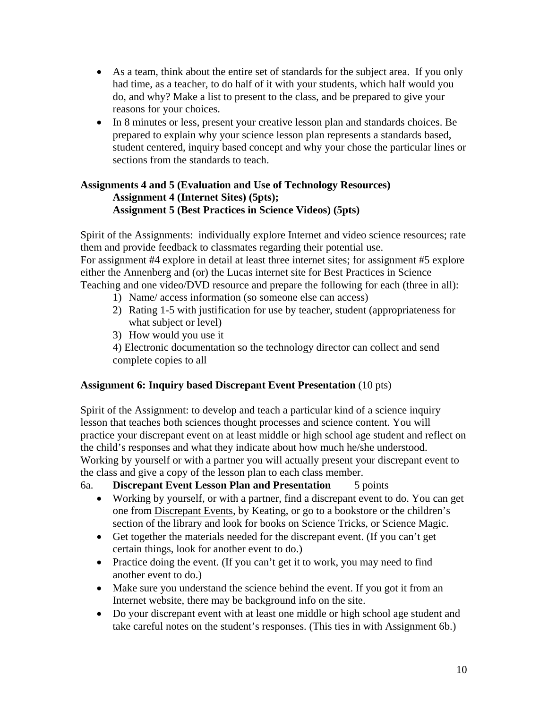- As a team, think about the entire set of standards for the subject area. If you only had time, as a teacher, to do half of it with your students, which half would you do, and why? Make a list to present to the class, and be prepared to give your reasons for your choices.
- In 8 minutes or less, present your creative lesson plan and standards choices. Be prepared to explain why your science lesson plan represents a standards based, student centered, inquiry based concept and why your chose the particular lines or sections from the standards to teach.

#### **Assignments 4 and 5 (Evaluation and Use of Technology Resources) Assignment 4 (Internet Sites) (5pts); Assignment 5 (Best Practices in Science Videos) (5pts)**

Spirit of the Assignments: individually explore Internet and video science resources; rate them and provide feedback to classmates regarding their potential use. For assignment #4 explore in detail at least three internet sites; for assignment #5 explore either the Annenberg and (or) the Lucas internet site for Best Practices in Science Teaching and one video/DVD resource and prepare the following for each (three in all):

- 1) Name/ access information (so someone else can access)
- 2) Rating 1-5 with justification for use by teacher, student (appropriateness for what subject or level)
- 3) How would you use it

4) Electronic documentation so the technology director can collect and send complete copies to all

#### **Assignment 6: Inquiry based Discrepant Event Presentation** (10 pts)

Spirit of the Assignment: to develop and teach a particular kind of a science inquiry lesson that teaches both sciences thought processes and science content. You will practice your discrepant event on at least middle or high school age student and reflect on the child's responses and what they indicate about how much he/she understood. Working by yourself or with a partner you will actually present your discrepant event to the class and give a copy of the lesson plan to each class member.

#### 6a. **Discrepant Event Lesson Plan and Presentation** 5 points

- Working by yourself, or with a partner, find a discrepant event to do. You can get one from Discrepant Events, by Keating, or go to a bookstore or the children's section of the library and look for books on Science Tricks, or Science Magic.
- Get together the materials needed for the discrepant event. (If you can't get certain things, look for another event to do.)
- Practice doing the event. (If you can't get it to work, you may need to find another event to do.)
- Make sure you understand the science behind the event. If you got it from an Internet website, there may be background info on the site.
- Do your discrepant event with at least one middle or high school age student and take careful notes on the student's responses. (This ties in with Assignment 6b.)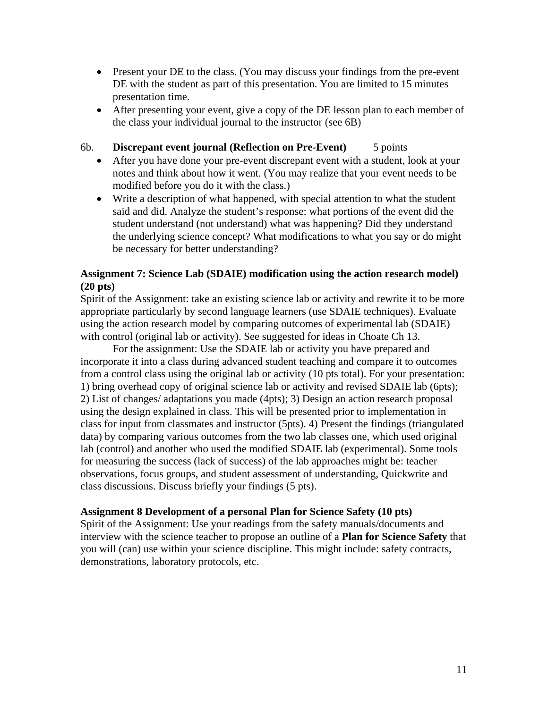- Present your DE to the class. (You may discuss your findings from the pre-event DE with the student as part of this presentation. You are limited to 15 minutes presentation time.
- After presenting your event, give a copy of the DE lesson plan to each member of the class your individual journal to the instructor (see 6B)
- 6b. **Discrepant event journal (Reflection on Pre-Event)** 5 points
	- After you have done your pre-event discrepant event with a student, look at your notes and think about how it went. (You may realize that your event needs to be modified before you do it with the class.)
	- Write a description of what happened, with special attention to what the student said and did. Analyze the student's response: what portions of the event did the student understand (not understand) what was happening? Did they understand the underlying science concept? What modifications to what you say or do might be necessary for better understanding?

#### **Assignment 7: Science Lab (SDAIE) modification using the action research model) (20 pts)**

Spirit of the Assignment: take an existing science lab or activity and rewrite it to be more appropriate particularly by second language learners (use SDAIE techniques). Evaluate using the action research model by comparing outcomes of experimental lab (SDAIE) with control (original lab or activity). See suggested for ideas in Choate Ch 13.

For the assignment: Use the SDAIE lab or activity you have prepared and incorporate it into a class during advanced student teaching and compare it to outcomes from a control class using the original lab or activity (10 pts total). For your presentation: 1) bring overhead copy of original science lab or activity and revised SDAIE lab (6pts); 2) List of changes/ adaptations you made (4pts); 3) Design an action research proposal using the design explained in class. This will be presented prior to implementation in class for input from classmates and instructor (5pts). 4) Present the findings (triangulated data) by comparing various outcomes from the two lab classes one, which used original lab (control) and another who used the modified SDAIE lab (experimental). Some tools for measuring the success (lack of success) of the lab approaches might be: teacher observations, focus groups, and student assessment of understanding, Quickwrite and class discussions. Discuss briefly your findings (5 pts).

#### **Assignment 8 Development of a personal Plan for Science Safety (10 pts)**

Spirit of the Assignment: Use your readings from the safety manuals/documents and interview with the science teacher to propose an outline of a **Plan for Science Safety** that you will (can) use within your science discipline. This might include: safety contracts, demonstrations, laboratory protocols, etc.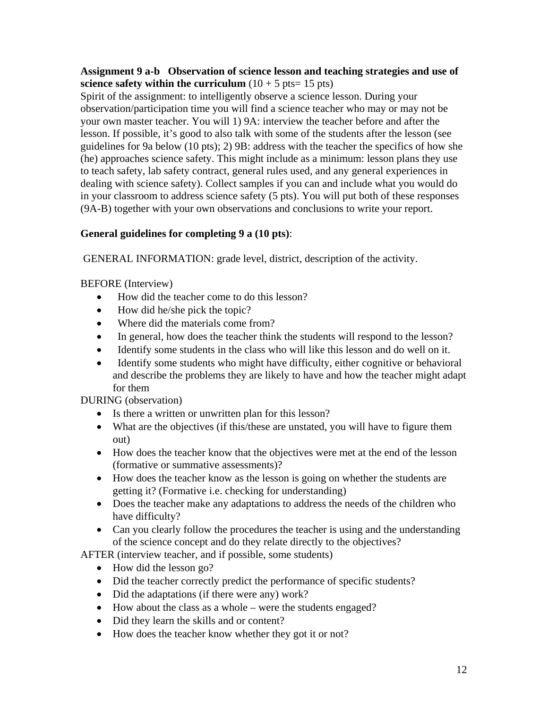#### **Assignment 9 a-b Observation of science lesson and teaching strategies and use of science safety within the curriculum**  $(10 + 5 \text{ pts} = 15 \text{ pts})$

Spirit of the assignment: to intelligently observe a science lesson. During your observation/participation time you will find a science teacher who may or may not be your own master teacher. You will 1) 9A: interview the teacher before and after the lesson. If possible, it's good to also talk with some of the students after the lesson (see guidelines for 9a below (10 pts); 2) 9B: address with the teacher the specifics of how she (he) approaches science safety. This might include as a minimum: lesson plans they use to teach safety, lab safety contract, general rules used, and any general experiences in dealing with science safety). Collect samples if you can and include what you would do in your classroom to address science safety (5 pts). You will put both of these responses (9A-B) together with your own observations and conclusions to write your report.

### **General guidelines for completing 9 a (10 pts)**:

GENERAL INFORMATION: grade level, district, description of the activity.

BEFORE (Interview)

- How did the teacher come to do this lesson?
- How did he/she pick the topic?
- Where did the materials come from?
- In general, how does the teacher think the students will respond to the lesson?
- Identify some students in the class who will like this lesson and do well on it.
- Identify some students who might have difficulty, either cognitive or behavioral and describe the problems they are likely to have and how the teacher might adapt for them

DURING (observation)

- Is there a written or unwritten plan for this lesson?
- What are the objectives (if this/these are unstated, you will have to figure them out)
- How does the teacher know that the objectives were met at the end of the lesson (formative or summative assessments)?
- How does the teacher know as the lesson is going on whether the students are getting it? (Formative i.e. checking for understanding)
- Does the teacher make any adaptations to address the needs of the children who have difficulty?
- Can you clearly follow the procedures the teacher is using and the understanding of the science concept and do they relate directly to the objectives?

AFTER (interview teacher, and if possible, some students)

- How did the lesson go?
- Did the teacher correctly predict the performance of specific students?
- Did the adaptations (if there were any) work?
- How about the class as a whole were the students engaged?
- Did they learn the skills and or content?
- How does the teacher know whether they got it or not?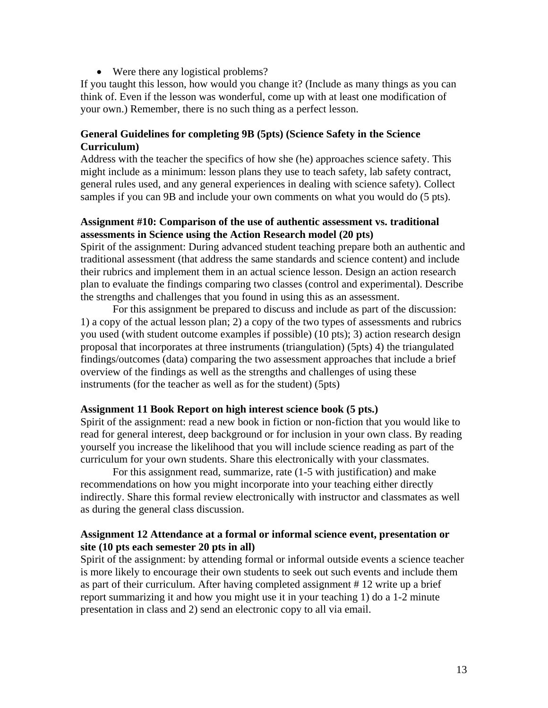• Were there any logistical problems?

If you taught this lesson, how would you change it? (Include as many things as you can think of. Even if the lesson was wonderful, come up with at least one modification of your own.) Remember, there is no such thing as a perfect lesson.

#### **General Guidelines for completing 9B (5pts) (Science Safety in the Science Curriculum)**

Address with the teacher the specifics of how she (he) approaches science safety. This might include as a minimum: lesson plans they use to teach safety, lab safety contract, general rules used, and any general experiences in dealing with science safety). Collect samples if you can 9B and include your own comments on what you would do (5 pts).

#### **Assignment #10: Comparison of the use of authentic assessment vs. traditional assessments in Science using the Action Research model (20 pts)**

Spirit of the assignment: During advanced student teaching prepare both an authentic and traditional assessment (that address the same standards and science content) and include their rubrics and implement them in an actual science lesson. Design an action research plan to evaluate the findings comparing two classes (control and experimental). Describe the strengths and challenges that you found in using this as an assessment.

For this assignment be prepared to discuss and include as part of the discussion: 1) a copy of the actual lesson plan; 2) a copy of the two types of assessments and rubrics you used (with student outcome examples if possible) (10 pts); 3) action research design proposal that incorporates at three instruments (triangulation) (5pts) 4) the triangulated findings/outcomes (data) comparing the two assessment approaches that include a brief overview of the findings as well as the strengths and challenges of using these instruments (for the teacher as well as for the student) (5pts)

#### **Assignment 11 Book Report on high interest science book (5 pts.)**

Spirit of the assignment: read a new book in fiction or non-fiction that you would like to read for general interest, deep background or for inclusion in your own class. By reading yourself you increase the likelihood that you will include science reading as part of the curriculum for your own students. Share this electronically with your classmates.

For this assignment read, summarize, rate (1-5 with justification) and make recommendations on how you might incorporate into your teaching either directly indirectly. Share this formal review electronically with instructor and classmates as well as during the general class discussion.

#### **Assignment 12 Attendance at a formal or informal science event, presentation or site (10 pts each semester 20 pts in all)**

Spirit of the assignment: by attending formal or informal outside events a science teacher is more likely to encourage their own students to seek out such events and include them as part of their curriculum. After having completed assignment # 12 write up a brief report summarizing it and how you might use it in your teaching 1) do a 1-2 minute presentation in class and 2) send an electronic copy to all via email.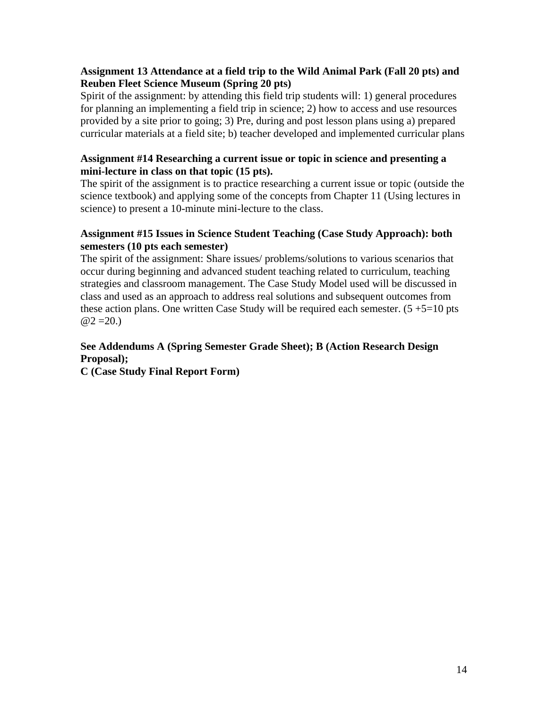#### **Assignment 13 Attendance at a field trip to the Wild Animal Park (Fall 20 pts) and Reuben Fleet Science Museum (Spring 20 pts)**

Spirit of the assignment: by attending this field trip students will: 1) general procedures for planning an implementing a field trip in science; 2) how to access and use resources provided by a site prior to going; 3) Pre, during and post lesson plans using a) prepared curricular materials at a field site; b) teacher developed and implemented curricular plans

#### **Assignment #14 Researching a current issue or topic in science and presenting a mini-lecture in class on that topic (15 pts).**

The spirit of the assignment is to practice researching a current issue or topic (outside the science textbook) and applying some of the concepts from Chapter 11 (Using lectures in science) to present a 10-minute mini-lecture to the class.

#### **Assignment #15 Issues in Science Student Teaching (Case Study Approach): both semesters (10 pts each semester)**

The spirit of the assignment: Share issues/ problems/solutions to various scenarios that occur during beginning and advanced student teaching related to curriculum, teaching strategies and classroom management. The Case Study Model used will be discussed in class and used as an approach to address real solutions and subsequent outcomes from these action plans. One written Case Study will be required each semester.  $(5 + 5 = 10)$  pts  $@2 = 20.$ 

## **See Addendums A (Spring Semester Grade Sheet); B (Action Research Design Proposal);**

**C (Case Study Final Report Form)**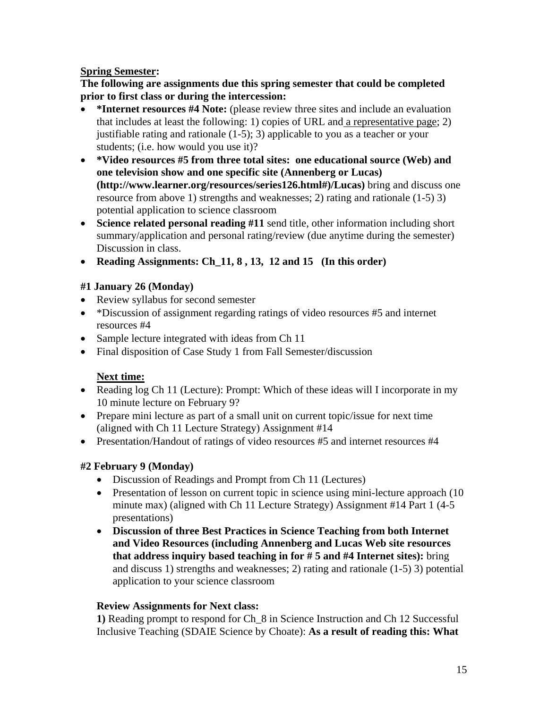#### **Spring Semester:**

**The following are assignments due this spring semester that could be completed prior to first class or during the intercession:** 

- **\*Internet resources #4 Note:** (please review three sites and include an evaluation that includes at least the following: 1) copies of URL and a representative page; 2) justifiable rating and rationale (1-5); 3) applicable to you as a teacher or your students; (i.e. how would you use it)?
- • **\*Video resources #5 from three total sites: one educational source (Web) and one television show and one specific site (Annenberg or Lucas) (http://www.learner.org/resources/series126.html#)/Lucas)** bring and discuss one resource from above 1) strengths and weaknesses; 2) rating and rationale (1-5) 3) potential application to science classroom
- **Science related personal reading #11** send title, other information including short summary/application and personal rating/review (due anytime during the semester) Discussion in class.
- **Reading Assignments: Ch\_11, 8, 13, 12 and 15 (In this order)**

### **#1 January 26 (Monday)**

- Review syllabus for second semester
- \*Discussion of assignment regarding ratings of video resources #5 and internet resources #4
- Sample lecture integrated with ideas from Ch 11
- Final disposition of Case Study 1 from Fall Semester/discussion

# **Next time:**

- Reading log Ch 11 (Lecture): Prompt: Which of these ideas will I incorporate in my 10 minute lecture on February 9?
- Prepare mini lecture as part of a small unit on current topic/issue for next time (aligned with Ch 11 Lecture Strategy) Assignment #14
- Presentation/Handout of ratings of video resources #5 and internet resources #4

# **#2 February 9 (Monday)**

- Discussion of Readings and Prompt from Ch 11 (Lectures)
- Presentation of lesson on current topic in science using mini-lecture approach (10) minute max) (aligned with Ch 11 Lecture Strategy) Assignment #14 Part 1 (4-5 presentations)
- • **Discussion of three Best Practices in Science Teaching from both Internet and Video Resources (including Annenberg and Lucas Web site resources that address inquiry based teaching in for # 5 and #4 Internet sites):** bring and discuss 1) strengths and weaknesses; 2) rating and rationale (1-5) 3) potential application to your science classroom

### **Review Assignments for Next class:**

**1)** Reading prompt to respond for Ch\_8 in Science Instruction and Ch 12 Successful Inclusive Teaching (SDAIE Science by Choate): **As a result of reading this: What**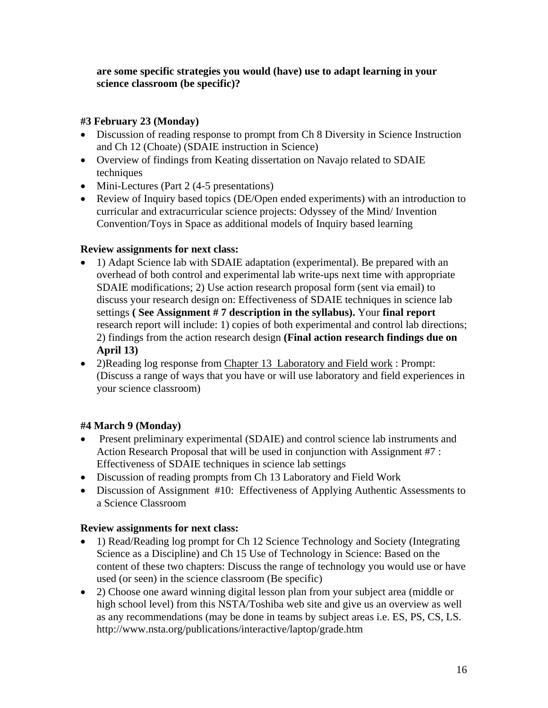#### **are some specific strategies you would (have) use to adapt learning in your science classroom (be specific)?**

### **#3 February 23 (Monday)**

- Discussion of reading response to prompt from Ch 8 Diversity in Science Instruction and Ch 12 (Choate) (SDAIE instruction in Science)
- Overview of findings from Keating dissertation on Navajo related to SDAIE techniques
- Mini-Lectures (Part 2 (4-5 presentations)
- Review of Inquiry based topics (DE/Open ended experiments) with an introduction to curricular and extracurricular science projects: Odyssey of the Mind/ Invention Convention/Toys in Space as additional models of Inquiry based learning

#### **Review assignments for next class:**

- 1) Adapt Science lab with SDAIE adaptation (experimental). Be prepared with an overhead of both control and experimental lab write-ups next time with appropriate SDAIE modifications; 2) Use action research proposal form (sent via email) to discuss your research design on: Effectiveness of SDAIE techniques in science lab settings **( See Assignment # 7 description in the syllabus).** Your **final report**  research report will include: 1) copies of both experimental and control lab directions; 2) findings from the action research design **(Final action research findings due on April 13)**
- 2)Reading log response from Chapter 13 Laboratory and Field work : Prompt: (Discuss a range of ways that you have or will use laboratory and field experiences in your science classroom)

### **#4 March 9 (Monday)**

- Present preliminary experimental (SDAIE) and control science lab instruments and Action Research Proposal that will be used in conjunction with Assignment #7 : Effectiveness of SDAIE techniques in science lab settings
- Discussion of reading prompts from Ch 13 Laboratory and Field Work
- Discussion of Assignment #10: Effectiveness of Applying Authentic Assessments to a Science Classroom

#### **Review assignments for next class:**

- 1) Read/Reading log prompt for Ch 12 Science Technology and Society (Integrating Science as a Discipline) and Ch 15 Use of Technology in Science: Based on the content of these two chapters: Discuss the range of technology you would use or have used (or seen) in the science classroom (Be specific)
- 2) Choose one award winning digital lesson plan from your subject area (middle or high school level) from this NSTA/Toshiba web site and give us an overview as well as any recommendations (may be done in teams by subject areas i.e. ES, PS, CS, LS. http://www.nsta.org/publications/interactive/laptop/grade.htm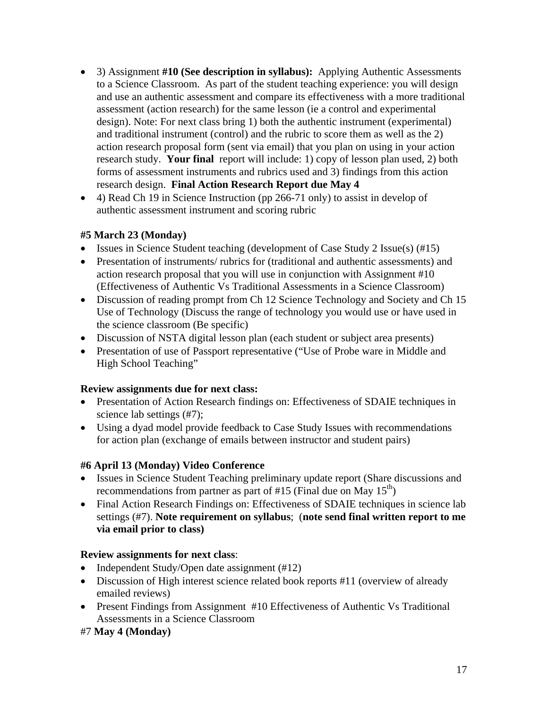- 3) Assignment #10 (See description in syllabus): Applying Authentic Assessments to a Science Classroom. As part of the student teaching experience: you will design and use an authentic assessment and compare its effectiveness with a more traditional assessment (action research) for the same lesson (ie a control and experimental design). Note: For next class bring 1) both the authentic instrument (experimental) and traditional instrument (control) and the rubric to score them as well as the 2) action research proposal form (sent via email) that you plan on using in your action research study. **Your final** report will include: 1) copy of lesson plan used, 2) both forms of assessment instruments and rubrics used and 3) findings from this action research design. **Final Action Research Report due May 4**
- 4) Read Ch 19 in Science Instruction (pp 266-71 only) to assist in develop of authentic assessment instrument and scoring rubric

#### **#5 March 23 (Monday)**

- Issues in Science Student teaching (development of Case Study 2 Issue(s) (#15)
- Presentation of instruments/ rubrics for (traditional and authentic assessments) and action research proposal that you will use in conjunction with Assignment #10 (Effectiveness of Authentic Vs Traditional Assessments in a Science Classroom)
- Discussion of reading prompt from Ch 12 Science Technology and Society and Ch 15 Use of Technology (Discuss the range of technology you would use or have used in the science classroom (Be specific)
- Discussion of NSTA digital lesson plan (each student or subject area presents)
- Presentation of use of Passport representative ("Use of Probe ware in Middle and High School Teaching"

#### **Review assignments due for next class:**

- Presentation of Action Research findings on: Effectiveness of SDAIE techniques in science lab settings (#7);
- Using a dyad model provide feedback to Case Study Issues with recommendations for action plan (exchange of emails between instructor and student pairs)

### **#6 April 13 (Monday) Video Conference**

- Issues in Science Student Teaching preliminary update report (Share discussions and recommendations from partner as part of #15 (Final due on May  $15<sup>th</sup>$ )
- Final Action Research Findings on: Effectiveness of SDAIE techniques in science lab settings (#7). **Note requirement on syllabus**; (**note send final written report to me via email prior to class)**

### **Review assignments for next class**:

- Independent Study/Open date assignment (#12)
- Discussion of High interest science related book reports #11 (overview of already emailed reviews)
- Present Findings from Assignment #10 Effectiveness of Authentic Vs Traditional Assessments in a Science Classroom

### #7 **May 4 (Monday)**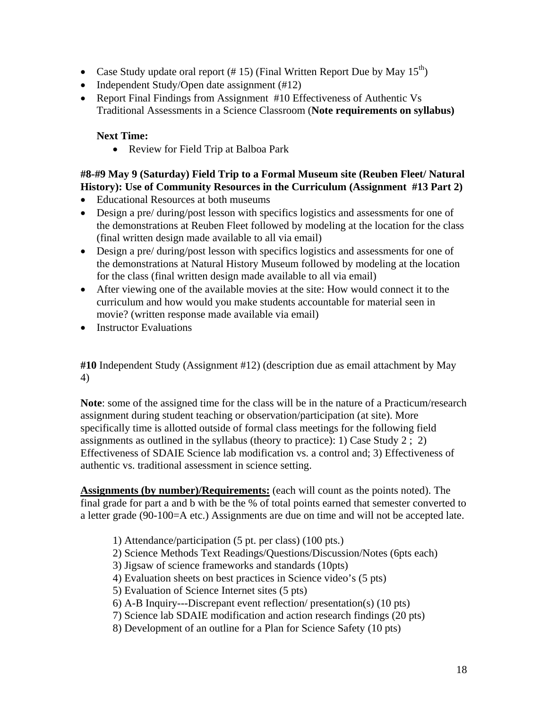- Case Study update oral report (# 15) (Final Written Report Due by May  $15^{th}$ )
- Independent Study/Open date assignment (#12)
- Report Final Findings from Assignment #10 Effectiveness of Authentic Vs Traditional Assessments in a Science Classroom (**Note requirements on syllabus)**

#### **Next Time:**

• Review for Field Trip at Balboa Park

#### **#8-#9 May 9 (Saturday) Field Trip to a Formal Museum site (Reuben Fleet/ Natural History): Use of Community Resources in the Curriculum (Assignment #13 Part 2)**

- Educational Resources at both museums
- Design a pre/ during/post lesson with specifics logistics and assessments for one of the demonstrations at Reuben Fleet followed by modeling at the location for the class (final written design made available to all via email)
- Design a pre/ during/post lesson with specifics logistics and assessments for one of the demonstrations at Natural History Museum followed by modeling at the location for the class (final written design made available to all via email)
- After viewing one of the available movies at the site: How would connect it to the curriculum and how would you make students accountable for material seen in movie? (written response made available via email)
- Instructor Evaluations

**#10** Independent Study (Assignment #12) (description due as email attachment by May 4)

**Note**: some of the assigned time for the class will be in the nature of a Practicum/research assignment during student teaching or observation/participation (at site). More specifically time is allotted outside of formal class meetings for the following field assignments as outlined in the syllabus (theory to practice): 1) Case Study 2 ; 2) Effectiveness of SDAIE Science lab modification vs. a control and; 3) Effectiveness of authentic vs. traditional assessment in science setting.

**Assignments (by number)/Requirements:** (each will count as the points noted). The final grade for part a and b with be the % of total points earned that semester converted to a letter grade (90-100=A etc.) Assignments are due on time and will not be accepted late.

- 1) Attendance/participation (5 pt. per class) (100 pts.)
- 2) Science Methods Text Readings/Questions/Discussion/Notes (6pts each)
- 3) Jigsaw of science frameworks and standards (10pts)
- 4) Evaluation sheets on best practices in Science video's (5 pts)
- 5) Evaluation of Science Internet sites (5 pts)
- 6) A-B Inquiry---Discrepant event reflection/ presentation(s) (10 pts)
- 7) Science lab SDAIE modification and action research findings (20 pts)
- 8) Development of an outline for a Plan for Science Safety (10 pts)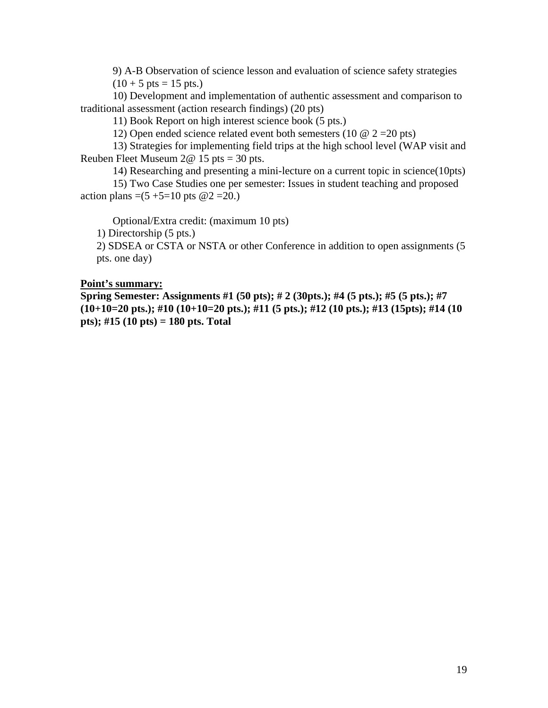9) A-B Observation of science lesson and evaluation of science safety strategies  $(10 + 5 \text{ pts} = 15 \text{ pts.})$ 

10) Development and implementation of authentic assessment and comparison to traditional assessment (action research findings) (20 pts)

11) Book Report on high interest science book (5 pts.)

12) Open ended science related event both semesters (10  $\omega$  2 = 20 pts)

13) Strategies for implementing field trips at the high school level (WAP visit and Reuben Fleet Museum 2@ 15 pts = 30 pts.

14) Researching and presenting a mini-lecture on a current topic in science(10pts)

15) Two Case Studies one per semester: Issues in student teaching and proposed action plans =(5 +5=10 pts  $@2 = 20$ .)

Optional/Extra credit: (maximum 10 pts)

1) Directorship (5 pts.)

2) SDSEA or CSTA or NSTA or other Conference in addition to open assignments (5 pts. one day)

#### **Point's summary:**

**Spring Semester: Assignments #1 (50 pts); # 2 (30pts.); #4 (5 pts.); #5 (5 pts.); #7 (10+10=20 pts.); #10 (10+10=20 pts.); #11 (5 pts.); #12 (10 pts.); #13 (15pts); #14 (10 pts); #15 (10 pts) = 180 pts. Total**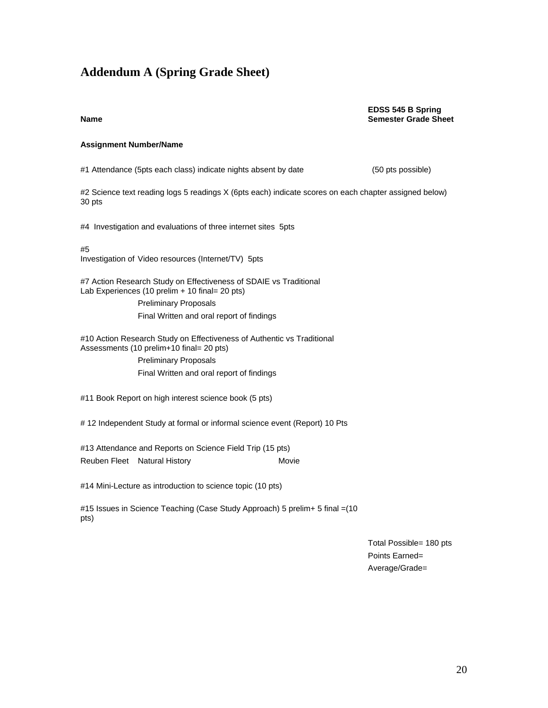# **Addendum A (Spring Grade Sheet)**

#### **EDSS 545 B Spring Name Semester Grade Sheet**

#### **Assignment Number/Name**

#1 Attendance (5pts each class) indicate nights absent by date (50 pts possible)

#2 Science text reading logs 5 readings X (6pts each) indicate scores on each chapter assigned below) 30 pts

#4 Investigation and evaluations of three internet sites 5pts

#5

Investigation of Video resources (Internet/TV) 5pts

#7 Action Research Study on Effectiveness of SDAIE vs Traditional Lab Experiences (10 prelim + 10 final= 20 pts)

> Preliminary Proposals Final Written and oral report of findings

#10 Action Research Study on Effectiveness of Authentic vs Traditional Assessments (10 prelim+10 final= 20 pts)

> Preliminary Proposals Final Written and oral report of findings

#11 Book Report on high interest science book (5 pts)

# 12 Independent Study at formal or informal science event (Report) 10 Pts

#13 Attendance and Reports on Science Field Trip (15 pts) Reuben Fleet Natural History **Movie** Movie

#14 Mini-Lecture as introduction to science topic (10 pts)

#15 Issues in Science Teaching (Case Study Approach) 5 prelim+ 5 final =(10 pts)

> Total Possible= 180 pts Points Earned= Average/Grade=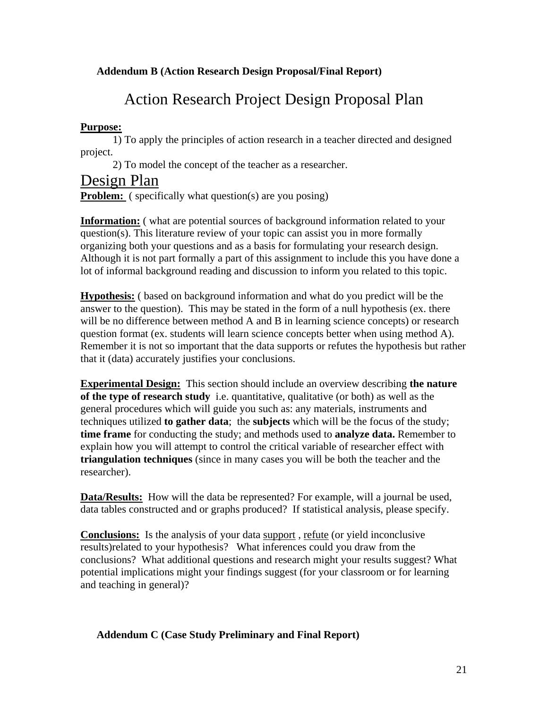#### **Addendum B (Action Research Design Proposal/Final Report)**

# Action Research Project Design Proposal Plan

#### **Purpose:**

1) To apply the principles of action research in a teacher directed and designed project.

2) To model the concept of the teacher as a researcher.

# Design Plan

**Problem:** ( specifically what question(s) are you posing)

**Information:** ( what are potential sources of background information related to your question(s). This literature review of your topic can assist you in more formally organizing both your questions and as a basis for formulating your research design. Although it is not part formally a part of this assignment to include this you have done a lot of informal background reading and discussion to inform you related to this topic.

**Hypothesis:** ( based on background information and what do you predict will be the answer to the question). This may be stated in the form of a null hypothesis (ex. there will be no difference between method A and B in learning science concepts) or research question format (ex. students will learn science concepts better when using method A). Remember it is not so important that the data supports or refutes the hypothesis but rather that it (data) accurately justifies your conclusions.

**Experimental Design:** This section should include an overview describing **the nature of the type of research study** i.e. quantitative, qualitative (or both) as well as the general procedures which will guide you such as: any materials, instruments and techniques utilized **to gather data**; the **subjects** which will be the focus of the study; **time frame** for conducting the study; and methods used to **analyze data.** Remember to explain how you will attempt to control the critical variable of researcher effect with **triangulation techniques** (since in many cases you will be both the teacher and the researcher).

**Data/Results:** How will the data be represented? For example, will a journal be used, data tables constructed and or graphs produced? If statistical analysis, please specify.

**Conclusions:** Is the analysis of your data support , refute (or yield inconclusive results)related to your hypothesis? What inferences could you draw from the conclusions? What additional questions and research might your results suggest? What potential implications might your findings suggest (for your classroom or for learning and teaching in general)?

#### **Addendum C (Case Study Preliminary and Final Report)**